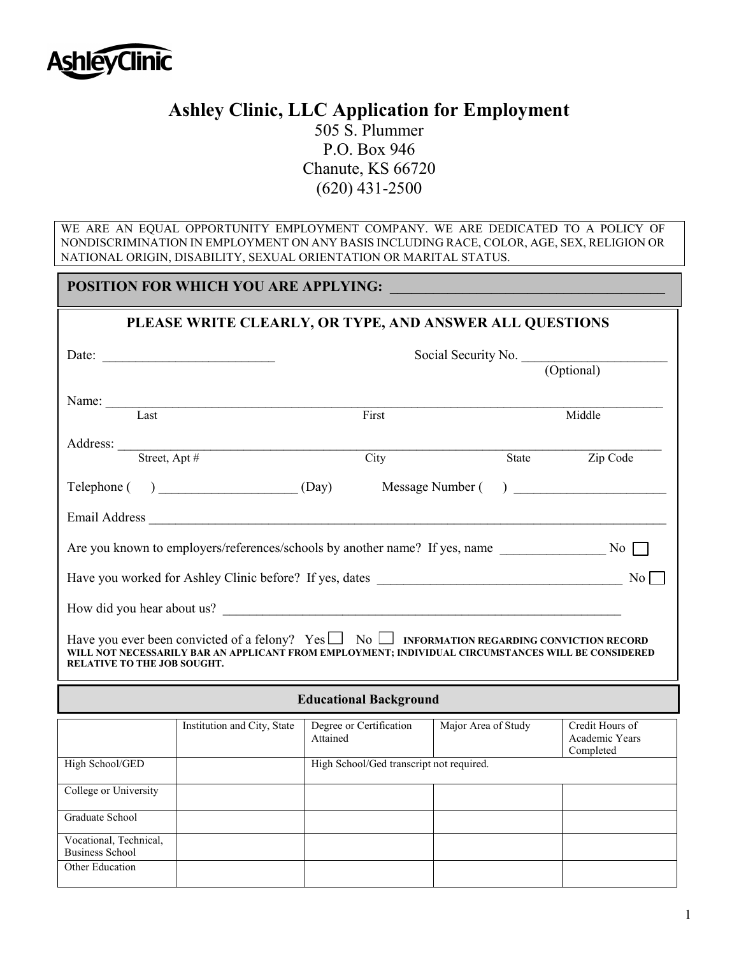

Business School Other Education

## **Ashley Clinic, LLC Application for Employment**

505 S. Plummer P.O. Box 946 Chanute, KS 66720 (620) 431-2500

WE ARE AN EQUAL OPPORTUNITY EMPLOYMENT COMPANY. WE ARE DEDICATED TO A POLICY OF NONDISCRIMINATION IN EMPLOYMENT ON ANY BASIS INCLUDING RACE, COLOR, AGE, SEX, RELIGION OR NATIONAL ORIGIN, DISABILITY, SEXUAL ORIENTATION OR MARITAL STATUS.

| <b>POSITION FOR WHICH YOU ARE APPLYING:</b>                                                                                                                                                                                                        |                             |                                          |                     |                                                |  |
|----------------------------------------------------------------------------------------------------------------------------------------------------------------------------------------------------------------------------------------------------|-----------------------------|------------------------------------------|---------------------|------------------------------------------------|--|
| PLEASE WRITE CLEARLY, OR TYPE, AND ANSWER ALL QUESTIONS                                                                                                                                                                                            |                             |                                          |                     |                                                |  |
|                                                                                                                                                                                                                                                    |                             | Social Security No. (Optional)           |                     |                                                |  |
|                                                                                                                                                                                                                                                    |                             |                                          |                     |                                                |  |
|                                                                                                                                                                                                                                                    | Name: Last                  | First                                    |                     | Middle                                         |  |
|                                                                                                                                                                                                                                                    | Address: Street, Apt #      | $\overline{City}$                        | State               | Zip Code                                       |  |
|                                                                                                                                                                                                                                                    |                             |                                          |                     |                                                |  |
|                                                                                                                                                                                                                                                    |                             |                                          | Message Number ()   |                                                |  |
|                                                                                                                                                                                                                                                    |                             |                                          |                     |                                                |  |
|                                                                                                                                                                                                                                                    |                             |                                          |                     |                                                |  |
| No                                                                                                                                                                                                                                                 |                             |                                          |                     |                                                |  |
|                                                                                                                                                                                                                                                    | How did you hear about us?  |                                          |                     |                                                |  |
| Have you ever been convicted of a felony? Yes $\Box$ No $\Box$ INFORMATION REGARDING CONVICTION RECORD<br>WILL NOT NECESSARILY BAR AN APPLICANT FROM EMPLOYMENT; INDIVIDUAL CIRCUMSTANCES WILL BE CONSIDERED<br><b>RELATIVE TO THE JOB SOUGHT.</b> |                             |                                          |                     |                                                |  |
| <b>Educational Background</b>                                                                                                                                                                                                                      |                             |                                          |                     |                                                |  |
|                                                                                                                                                                                                                                                    | Institution and City, State | Degree or Certification<br>Attained      | Major Area of Study | Credit Hours of<br>Academic Years<br>Completed |  |
| High School/GED                                                                                                                                                                                                                                    |                             | High School/Ged transcript not required. |                     |                                                |  |
| College or University                                                                                                                                                                                                                              |                             |                                          |                     |                                                |  |
| Graduate School                                                                                                                                                                                                                                    |                             |                                          |                     |                                                |  |
| Vocational, Technical,                                                                                                                                                                                                                             |                             |                                          |                     |                                                |  |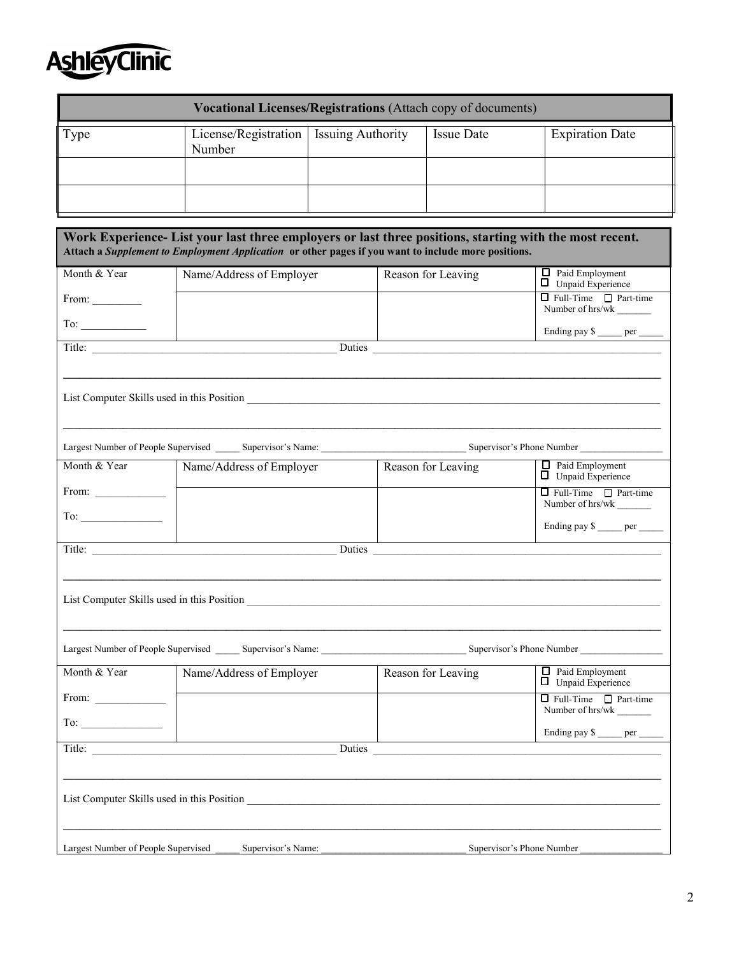

| <b>Vocational Licenses/Registrations (Attach copy of documents)</b> |                                                    |  |                   |                        |
|---------------------------------------------------------------------|----------------------------------------------------|--|-------------------|------------------------|
| l'ype                                                               | License/Registration   Issuing Authority<br>Number |  | <b>Issue Date</b> | <b>Expiration Date</b> |
|                                                                     |                                                    |  |                   |                        |
|                                                                     |                                                    |  |                   |                        |

| Work Experience- List your last three employers or last three positions, starting with the most recent.<br>Attach a Supplement to Employment Application or other pages if you want to include more positions. |                                                                                                                               |                      |                                                       |  |
|----------------------------------------------------------------------------------------------------------------------------------------------------------------------------------------------------------------|-------------------------------------------------------------------------------------------------------------------------------|----------------------|-------------------------------------------------------|--|
| Month & Year                                                                                                                                                                                                   | Name/Address of Employer                                                                                                      | Reason for Leaving   | $\Box$ Paid Employment<br>Unpaid Experience           |  |
| From: $\qquad \qquad$                                                                                                                                                                                          |                                                                                                                               |                      | $\Box$ Full-Time $\Box$ Part-time<br>Number of hrs/wk |  |
| To:                                                                                                                                                                                                            |                                                                                                                               |                      | Ending pay \$______ per _____                         |  |
|                                                                                                                                                                                                                | Title:                                                                                                                        | Duties               |                                                       |  |
|                                                                                                                                                                                                                |                                                                                                                               |                      |                                                       |  |
|                                                                                                                                                                                                                |                                                                                                                               |                      |                                                       |  |
|                                                                                                                                                                                                                |                                                                                                                               |                      |                                                       |  |
|                                                                                                                                                                                                                |                                                                                                                               |                      |                                                       |  |
| Month & Year                                                                                                                                                                                                   | Name/Address of Employer                                                                                                      | Reason for Leaving   | $\Box$ Paid Employment<br><b>Unpaid Experience</b>    |  |
| From: $\qquad \qquad$                                                                                                                                                                                          |                                                                                                                               |                      | $\Box$ Full-Time $\Box$ Part-time                     |  |
| To:                                                                                                                                                                                                            |                                                                                                                               |                      | Ending pay \$ _____ per                               |  |
|                                                                                                                                                                                                                | Title:<br>Duties                                                                                                              |                      |                                                       |  |
|                                                                                                                                                                                                                |                                                                                                                               |                      |                                                       |  |
|                                                                                                                                                                                                                |                                                                                                                               |                      |                                                       |  |
|                                                                                                                                                                                                                |                                                                                                                               |                      |                                                       |  |
|                                                                                                                                                                                                                |                                                                                                                               |                      |                                                       |  |
| Month & Year                                                                                                                                                                                                   | Name/Address of Employer                                                                                                      | Reason for Leaving   | Paid Employment<br>$\Box$ Unpaid Experience           |  |
|                                                                                                                                                                                                                |                                                                                                                               |                      | $\Box$ Full-Time $\Box$ Part-time                     |  |
|                                                                                                                                                                                                                | <u> 1989 - Johann John Stone, mars et al. 1989 - John Stone, mars et al. 1989 - John Stone, mars et al. 1989 - John Stone</u> |                      | Ending pay \$_____ per _____                          |  |
|                                                                                                                                                                                                                |                                                                                                                               | Duties <b>Duties</b> |                                                       |  |
|                                                                                                                                                                                                                |                                                                                                                               |                      |                                                       |  |
|                                                                                                                                                                                                                |                                                                                                                               |                      |                                                       |  |
|                                                                                                                                                                                                                |                                                                                                                               |                      |                                                       |  |
| Largest Number of People Supervised                                                                                                                                                                            | Supervisor's Name:                                                                                                            |                      | Supervisor's Phone Number                             |  |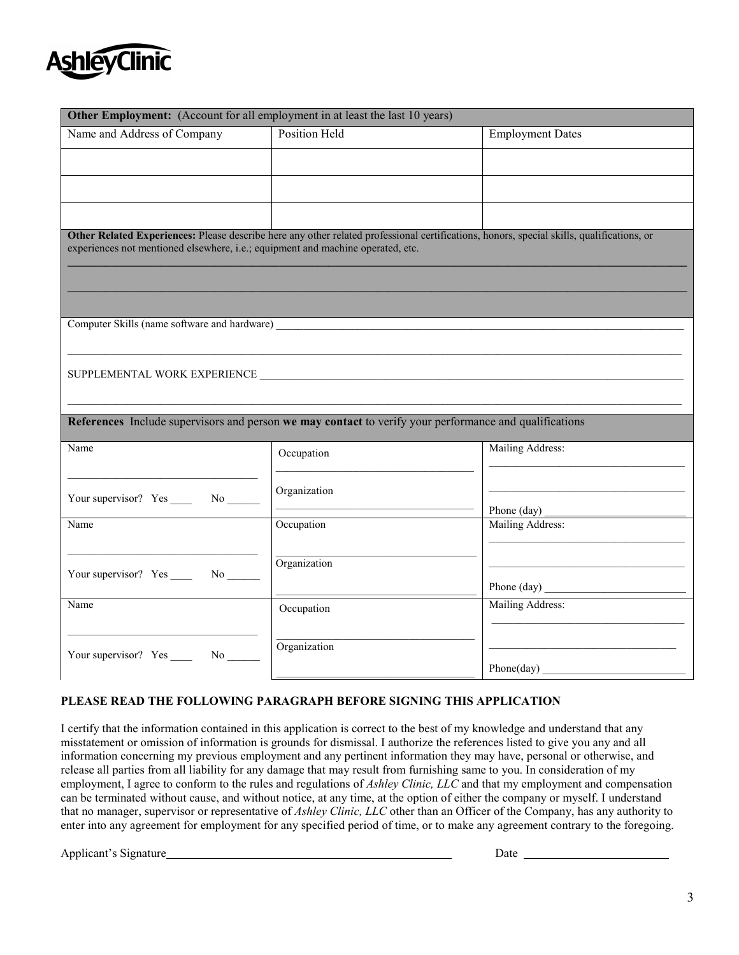

| Other Employment: (Account for all employment in at least the last 10 years)    |                                                                                                                                           |                         |  |  |
|---------------------------------------------------------------------------------|-------------------------------------------------------------------------------------------------------------------------------------------|-------------------------|--|--|
| Name and Address of Company                                                     | Position Held                                                                                                                             | <b>Employment Dates</b> |  |  |
|                                                                                 |                                                                                                                                           |                         |  |  |
|                                                                                 |                                                                                                                                           |                         |  |  |
|                                                                                 |                                                                                                                                           |                         |  |  |
|                                                                                 |                                                                                                                                           |                         |  |  |
| experiences not mentioned elsewhere, i.e.; equipment and machine operated, etc. | Other Related Experiences: Please describe here any other related professional certifications, honors, special skills, qualifications, or |                         |  |  |
|                                                                                 |                                                                                                                                           |                         |  |  |
|                                                                                 |                                                                                                                                           |                         |  |  |
|                                                                                 |                                                                                                                                           |                         |  |  |
|                                                                                 |                                                                                                                                           |                         |  |  |
|                                                                                 |                                                                                                                                           |                         |  |  |
|                                                                                 |                                                                                                                                           |                         |  |  |
|                                                                                 |                                                                                                                                           |                         |  |  |
|                                                                                 |                                                                                                                                           |                         |  |  |
|                                                                                 | References Include supervisors and person we may contact to verify your performance and qualifications                                    |                         |  |  |
| Name                                                                            | Occupation                                                                                                                                | Mailing Address:        |  |  |
|                                                                                 |                                                                                                                                           |                         |  |  |
|                                                                                 | Organization                                                                                                                              |                         |  |  |
| Your supervisor? Yes ______ No ______                                           |                                                                                                                                           | Phone (day)             |  |  |
| Name                                                                            | Occupation                                                                                                                                | Mailing Address:        |  |  |
|                                                                                 |                                                                                                                                           |                         |  |  |
| Your supervisor? Yes _______ No _______                                         | Organization                                                                                                                              |                         |  |  |
|                                                                                 |                                                                                                                                           | Phone (day)             |  |  |
| Name                                                                            | Occupation                                                                                                                                | Mailing Address:        |  |  |
|                                                                                 |                                                                                                                                           |                         |  |  |
| Your supervisor? Yes _______ No _________                                       | Organization                                                                                                                              |                         |  |  |
|                                                                                 |                                                                                                                                           | Phone(day)              |  |  |

## **PLEASE READ THE FOLLOWING PARAGRAPH BEFORE SIGNING THIS APPLICATION**

I certify that the information contained in this application is correct to the best of my knowledge and understand that any misstatement or omission of information is grounds for dismissal. I authorize the references listed to give you any and all information concerning my previous employment and any pertinent information they may have, personal or otherwise, and release all parties from all liability for any damage that may result from furnishing same to you. In consideration of my employment, I agree to conform to the rules and regulations of *Ashley Clinic, LLC* and that my employment and compensation can be terminated without cause, and without notice, at any time, at the option of either the company or myself. I understand that no manager, supervisor or representative of *Ashley Clinic, LLC* other than an Officer of the Company, has any authority to enter into any agreement for employment for any specified period of time, or to make any agreement contrary to the foregoing.

Applicant's Signature **Date** Date **Date Date Date Date Date Date Date Date Date Date Date Date Date Date D**